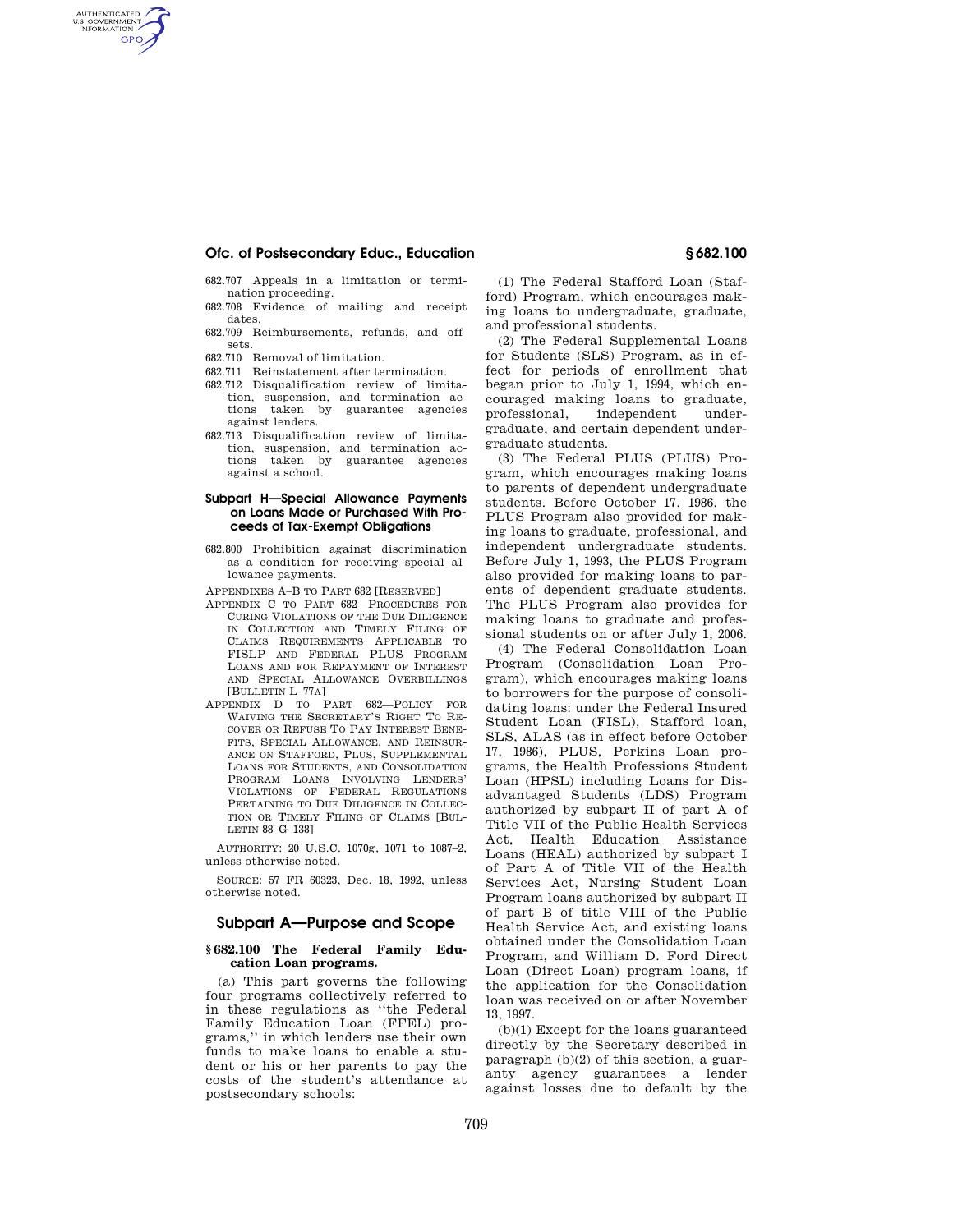## **Ofc. of Postsecondary Educ., Education § 682.100**

- 682.707 Appeals in a limitation or termination proceeding.
- 682.708 Evidence of mailing and receipt dates.
- 682.709 Reimbursements, refunds, and offsets.
- 682.710 Removal of limitation.

AUTHENTICATED<br>U.S. GOVERNMENT<br>INFORMATION **GPO** 

- 682.711 Reinstatement after termination.
- 682.712 Disqualification review of limitation, suspension, and termination actions taken by guarantee agencies against lenders.
- 682.713 Disqualification review of limitation, suspension, and termination actions taken by guarantee agencies against a school.

## **Subpart H—Special Allowance Payments on Loans Made or Purchased With Proceeds of Tax-Exempt Obligations**

- 682.800 Prohibition against discrimination as a condition for receiving special allowance payments.
- APPENDIXES A–B TO PART 682 [RESERVED]
- APPENDIX C TO PART 682—PROCEDURES FOR CURING VIOLATIONS OF THE DUE DILIGENCE IN COLLECTION AND TIMELY FILING OF CLAIMS REQUIREMENTS APPLICABLE TO FISLP AND FEDERAL PLUS PROGRAM LOANS AND FOR REPAYMENT OF INTEREST AND SPECIAL ALLOWANCE OVERBILLINGS [BULLETIN L-77A]
- APPENDIX D TO PART 682—POLICY FOR WAIVING THE SECRETARY'S RIGHT TO RE-COVER OR REFUSE TO PAY INTEREST BENE-FITS, SPECIAL ALLOWANCE, AND REINSUR-ANCE ON STAFFORD, PLUS, SUPPLEMENTAL LOANS FOR STUDENTS, AND CONSOLIDATION PROGRAM LOANS INVOLVING LENDERS' VIOLATIONS OF FEDERAL REGULATIONS PERTAINING TO DUE DILIGENCE IN COLLEC-TION OR TIMELY FILING OF CLAIMS [BUL-LETIN 88–G–138]

AUTHORITY: 20 U.S.C. 1070g, 1071 to 1087–2, unless otherwise noted.

SOURCE: 57 FR 60323, Dec. 18, 1992, unless otherwise noted.

### **Subpart A—Purpose and Scope**

#### **§ 682.100 The Federal Family Education Loan programs.**

(a) This part governs the following four programs collectively referred to in these regulations as ''the Federal Family Education Loan (FFEL) programs,'' in which lenders use their own funds to make loans to enable a student or his or her parents to pay the costs of the student's attendance at postsecondary schools:

(1) The Federal Stafford Loan (Stafford) Program, which encourages making loans to undergraduate, graduate, and professional students.

(2) The Federal Supplemental Loans for Students (SLS) Program, as in effect for periods of enrollment that began prior to July 1, 1994, which encouraged making loans to graduate, professional, independent undergraduate, and certain dependent undergraduate students.

(3) The Federal PLUS (PLUS) Program, which encourages making loans to parents of dependent undergraduate students. Before October 17, 1986, the PLUS Program also provided for making loans to graduate, professional, and independent undergraduate students. Before July 1, 1993, the PLUS Program also provided for making loans to parents of dependent graduate students. The PLUS Program also provides for making loans to graduate and professional students on or after July 1, 2006.

(4) The Federal Consolidation Loan Program (Consolidation Loan Program), which encourages making loans to borrowers for the purpose of consolidating loans: under the Federal Insured Student Loan (FISL), Stafford loan, SLS, ALAS (as in effect before October 17, 1986), PLUS, Perkins Loan programs, the Health Professions Student Loan (HPSL) including Loans for Disadvantaged Students (LDS) Program authorized by subpart II of part A of Title VII of the Public Health Services Act, Health Education Assistance Loans (HEAL) authorized by subpart I of Part A of Title VII of the Health Services Act, Nursing Student Loan Program loans authorized by subpart II of part B of title VIII of the Public Health Service Act, and existing loans obtained under the Consolidation Loan Program, and William D. Ford Direct Loan (Direct Loan) program loans, if the application for the Consolidation loan was received on or after November 13, 1997.

(b)(1) Except for the loans guaranteed directly by the Secretary described in paragraph (b)(2) of this section, a guaranty agency guarantees a lender against losses due to default by the